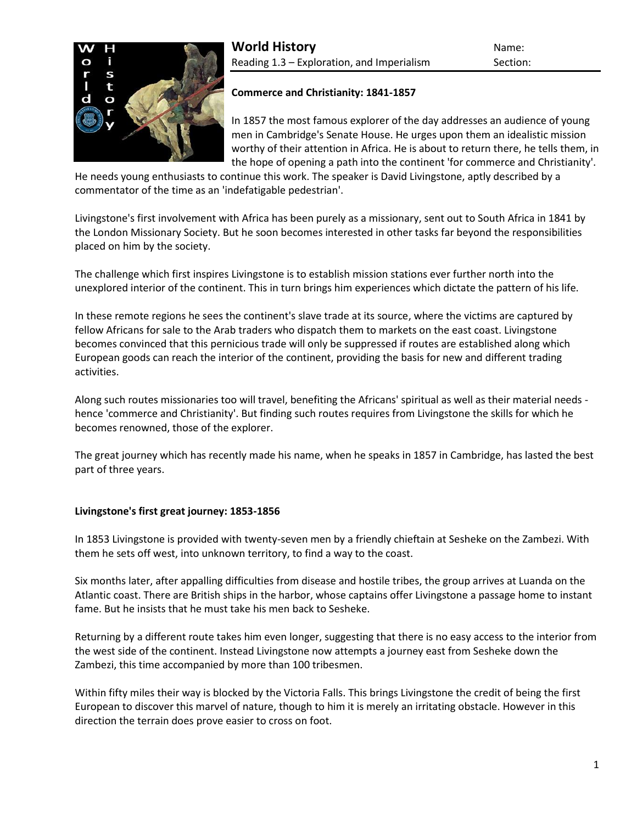

# **Commerce and Christianity: 1841-1857**

In 1857 the most famous explorer of the day addresses an audience of young men in Cambridge's Senate House. He urges upon them an idealistic mission worthy of their attention in Africa. He is about to return there, he tells them, in the hope of opening a path into the continent 'for commerce and Christianity'.

He needs young enthusiasts to continue this work. The speaker is David Livingstone, aptly described by a commentator of the time as an 'indefatigable pedestrian'.

Livingstone's first involvement with Africa has been purely as a missionary, sent out to South Africa in 1841 by the London Missionary Society. But he soon becomes interested in other tasks far beyond the responsibilities placed on him by the society.

The challenge which first inspires Livingstone is to establish mission stations ever further north into the unexplored interior of the continent. This in turn brings him experiences which dictate the pattern of his life.

In these remote regions he sees the continent's slave trade at its source, where the victims are captured by fellow Africans for sale to the Arab traders who dispatch them to markets on the east coast. Livingstone becomes convinced that this pernicious trade will only be suppressed if routes are established along which European goods can reach the interior of the continent, providing the basis for new and different trading activities.

Along such routes missionaries too will travel, benefiting the Africans' spiritual as well as their material needs hence 'commerce and Christianity'. But finding such routes requires from Livingstone the skills for which he becomes renowned, those of the explorer.

The great journey which has recently made his name, when he speaks in 1857 in Cambridge, has lasted the best part of three years.

# **Livingstone's first great journey: 1853-1856**

In 1853 Livingstone is provided with twenty-seven men by a friendly chieftain at Sesheke on the Zambezi. With them he sets off west, into unknown territory, to find a way to the coast.

Six months later, after appalling difficulties from disease and hostile tribes, the group arrives at Luanda on the Atlantic coast. There are British ships in the harbor, whose captains offer Livingstone a passage home to instant fame. But he insists that he must take his men back to Sesheke.

Returning by a different route takes him even longer, suggesting that there is no easy access to the interior from the west side of the continent. Instead Livingstone now attempts a journey east from Sesheke down the Zambezi, this time accompanied by more than 100 tribesmen.

Within fifty miles their way is blocked by the Victoria Falls. This brings Livingstone the credit of being the first European to discover this marvel of nature, though to him it is merely an irritating obstacle. However in this direction the terrain does prove easier to cross on foot.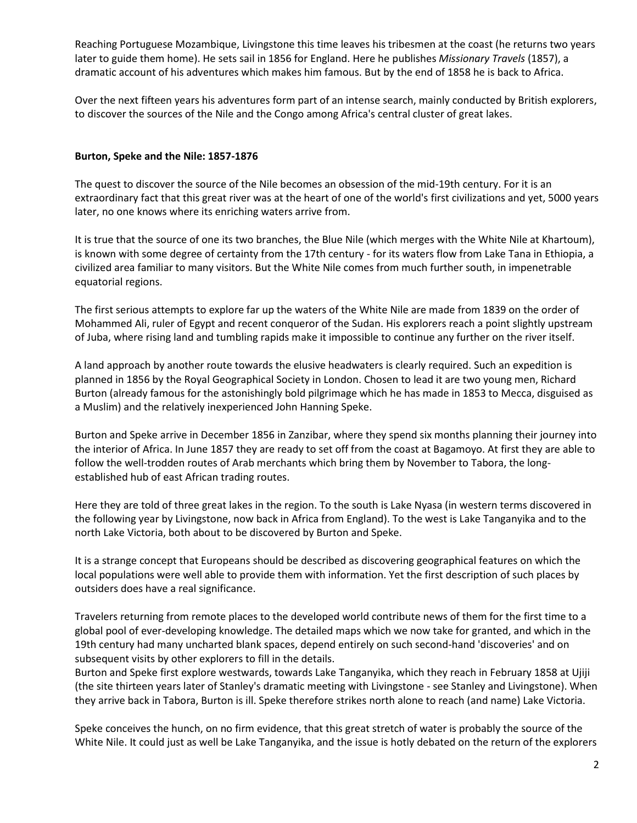Reaching Portuguese Mozambique, Livingstone this time leaves his tribesmen at the coast (he returns two years later to guide them home). He sets sail in 1856 for England. Here he publishes *Missionary Travels* (1857), a dramatic account of his adventures which makes him famous. But by the end of 1858 he is back to Africa.

Over the next fifteen years his adventures form part of an intense search, mainly conducted by British explorers, to discover the sources of the Nile and the Congo among Africa's central cluster of great lakes.

# **Burton, Speke and the Nile: 1857-1876**

The quest to discover the source of the Nile becomes an obsession of the mid-19th century. For it is an extraordinary fact that this great river was at the heart of one of the world's [first civilizations](http://www.historyworld.net/wrldhis/PlainTextHistories.asp?gtrack=pthc&ParagraphID=aqf#aqf) and yet, 5000 years later, no one knows where its enriching waters arrive from.

It is true that the source of one its two branches, the Blue Nile (which merges with the White Nile at Khartoum), is known with some degree of certainty from the 17th century - for its waters flow from Lake Tana in Ethiopia, a civilized area familiar to many visitors. But the White Nile comes from much further south, in impenetrable equatorial regions.

The first serious attempts to explore far up the waters of the White Nile are made from 1839 on the order of [Mohammed Ali,](http://www.historyworld.net/wrldhis/PlainTextHistories.asp?gtrack=pthc&ParagraphID=msc#msc) ruler of Egypt and recent conqueror of the Sudan. His explorers reach a point slightly upstream of Juba, where rising land and tumbling rapids make it impossible to continue any further on the river itself.

A land approach by another route towards the elusive headwaters is clearly required. Such an expedition is planned in 1856 by the Royal Geographical Society in London. Chosen to lead it are two young men, Richard Burton (already famous for the astonishingly bold pilgrimage which he has made in 1853 to Mecca, disguised as a Muslim) and the relatively inexperienced John Hanning Speke.

Burton and Speke arrive in December 1856 in Zanzibar, where they spend six months planning their journey into the interior of Africa. In June 1857 they are ready to set off from the coast at Bagamoyo. At first they are able to follow the well-trodden routes of Arab merchants which bring them by November to Tabora, the longestablished hub of east African trading routes.

Here they are told of three great lakes in the region. To the south is Lake Nyasa (in western terms discovered in the following year by Livingstone, now back in Africa from England). To the west is Lake Tanganyika and to the north Lake Victoria, both about to be discovered by Burton and Speke.

It is a strange concept that Europeans should be described as discovering geographical features on which the local populations were well able to provide them with information. Yet the first description of such places by outsiders does have a real significance.

Travelers returning from remote places to the developed world contribute news of them for the first time to a global pool of ever-developing knowledge. The detailed maps which we now take for granted, and which in the 19th century had many uncharted blank spaces, depend entirely on such second-hand 'discoveries' and on subsequent visits by other explorers to fill in the details.

Burton and Speke first explore westwards, towards Lake Tanganyika, which they reach in February 1858 at Ujiji (the site thirteen years later of Stanley's dramatic meeting with Livingstone - see [Stanley and Livingstone\)](http://www.historyworld.net/wrldhis/PlainTextHistories.asp?historyid=267). When they arrive back in Tabora, Burton is ill. Speke therefore strikes north alone to reach (and name) Lake Victoria.

Speke conceives the hunch, on no firm evidence, that this great stretch of water is probably the source of the White Nile. It could just as well be Lake Tanganyika, and the issue is hotly debated on the return of the explorers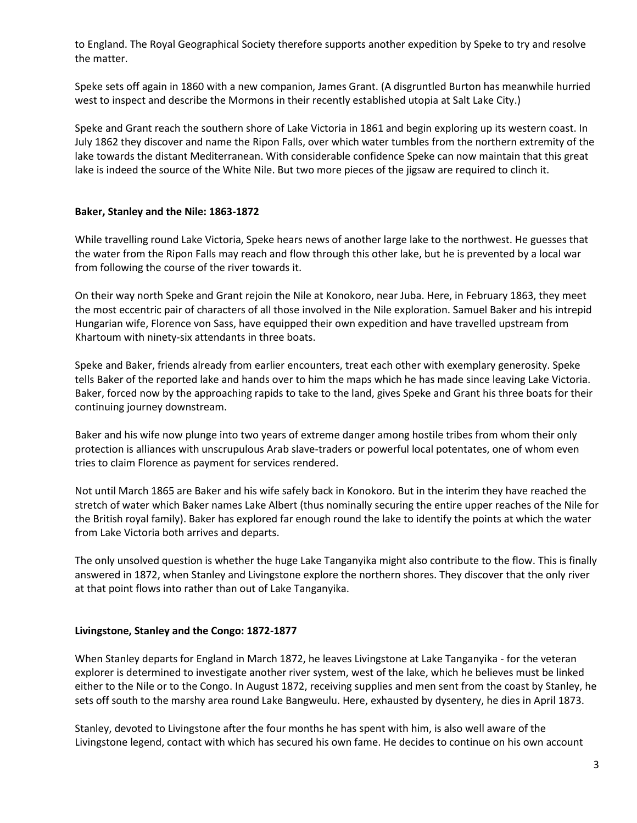to England. The Royal Geographical Society therefore supports another expedition by Speke to try and resolve the matter.

Speke sets off again in 1860 with a new companion, James Grant. (A disgruntled Burton has meanwhile hurried west to inspect and describe the Mormons in their recently established utopia at [Salt Lake City.](http://www.historyworld.net/wrldhis/PlainTextHistories.asp?gtrack=pthc&ParagraphID=nei#nei))

Speke and Grant reach the southern shore of Lake Victoria in 1861 and begin exploring up its western coast. In July 1862 they discover and name the Ripon Falls, over which water tumbles from the northern extremity of the lake towards the distant Mediterranean. With considerable confidence Speke can now maintain that this great lake is indeed the source of the White Nile. But two more pieces of the jigsaw are required to clinch it.

# **Baker, Stanley and the Nile: 1863-1872**

While travelling round Lake Victoria, Speke hears news of another large lake to the northwest. He guesses that the water from the Ripon Falls may reach and flow through this other lake, but he is prevented by a local war from following the course of the river towards it.

On their way north Speke and Grant rejoin the Nile at Konokoro, near Juba. Here, in February 1863, they meet the most eccentric pair of characters of all those involved in the Nile exploration. Samuel Baker and his intrepid Hungarian wife, Florence von Sass, have equipped their own expedition and have travelled upstream from Khartoum with ninety-six attendants in three boats.

Speke and Baker, friends already from earlier encounters, treat each other with exemplary generosity. Speke tells Baker of the reported lake and hands over to him the maps which he has made since leaving Lake Victoria. Baker, forced now by the approaching rapids to take to the land, gives Speke and Grant his three boats for their continuing journey downstream.

Baker and his wife now plunge into two years of extreme danger among hostile tribes from whom their only protection is alliances with unscrupulous Arab slave-traders or powerful local potentates, one of whom even tries to claim Florence as payment for services rendered.

Not until March 1865 are Baker and his wife safely back in Konokoro. But in the interim they have reached the stretch of water which Baker names Lake Albert (thus nominally securing the entire upper reaches of the Nile for the British royal family). Baker has explored far enough round the lake to identify the points at which the water from Lake Victoria both arrives and departs.

The only unsolved question is whether the huge Lake Tanganyika might also contribute to the flow. This is finally answered in 1872, when [Stanley and Livingstone](http://www.historyworld.net/wrldhis/PlainTextHistories.asp?historyid=267) explore the northern shores. They discover that the only river at that point flows into rather than out of Lake Tanganyika.

#### **Livingstone, Stanley and the Congo: 1872-1877**

When Stanley departs for England in March 1872, he leaves Livingstone at Lake Tanganyika - for the veteran explorer is determined to investigate another river system, west of the lake, which he believes must be linked either to the Nile or to the Congo. In August 1872, receiving supplies and men sent from the coast by Stanley, he sets off south to the marshy area round Lake Bangweulu. Here, exhausted by dysentery, he dies in April 1873.

Stanley, devoted to Livingstone after the four months he has spent with him, is also well aware of the Livingstone legend, contact with which has secured his own fame. He decides to continue on his own account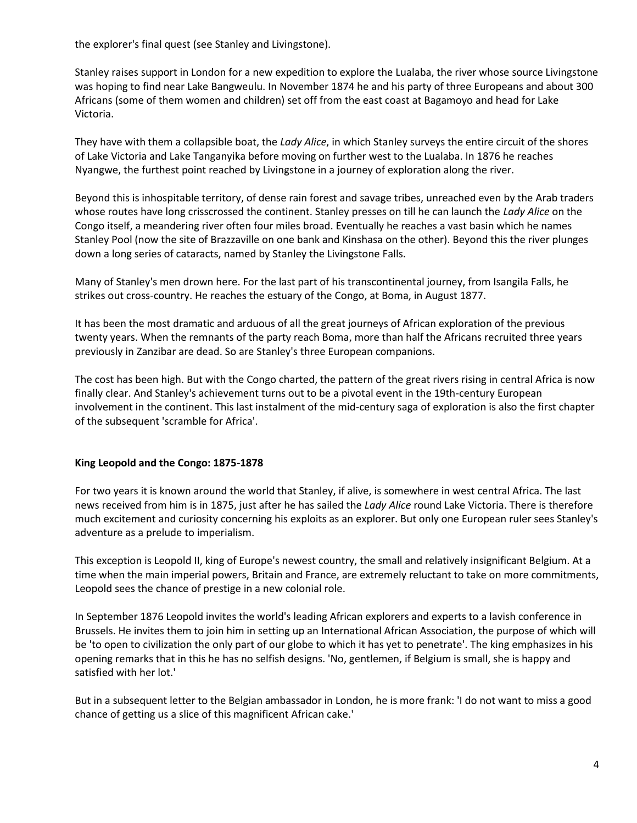the explorer's final quest (see [Stanley and Livingstone\)](http://www.historyworld.net/wrldhis/PlainTextHistories.asp?historyid=267).

Stanley raises support in London for a new expedition to explore the Lualaba, the river whose source Livingstone was hoping to find near Lake Bangweulu. In November 1874 he and his party of three Europeans and about 300 Africans (some of them women and children) set off from the east coast at Bagamoyo and head for Lake Victoria.

They have with them a collapsible boat, the *Lady Alice*, in which Stanley surveys the entire circuit of the shores of Lake Victoria and Lake Tanganyika before moving on further west to the Lualaba. In 1876 he reaches Nyangwe, the furthest point reached by Livingstone in a journey of exploration along the river.

Beyond this is inhospitable territory, of dense rain forest and savage tribes, unreached even by the Arab traders whose routes have long crisscrossed the continent. Stanley presses on till he can launch the *Lady Alice* on the Congo itself, a meandering river often four miles broad. Eventually he reaches a vast basin which he names Stanley Pool (now the site of [Brazzaville](http://www.historyworld.net/wrldhis/PlainTextHistories.asp?gtrack=pthc&ParagraphID=oqh#oqh) on one bank and [Kinshasa](http://www.historyworld.net/wrldhis/PlainTextHistories.asp?gtrack=pthc&ParagraphID=pae#pae) on the other). Beyond this the river plunges down a long series of cataracts, named by Stanley the Livingstone Falls.

Many of Stanley's men drown here. For the last part of his transcontinental journey, from Isangila Falls, he strikes out cross-country. He reaches the estuary of the Congo, at Boma, in August 1877.

It has been the most dramatic and arduous of all the great journeys of African exploration of the previous twenty years. When the remnants of the party reach Boma, more than half the Africans recruited three years previously in Zanzibar are dead. So are Stanley's three European companions.

The cost has been high. But with the Congo charted, the pattern of the great rivers rising in central Africa is now finally clear. And Stanley's achievement turns out to be a pivotal event in the 19th-century European involvement in the continent. This last instalment of the mid-century saga of exploration is also the first chapter of the subsequent 'scramble for Africa'.

# **King Leopold and the Congo: 1875-1878**

For two years it is known around the world that Stanley, if alive, is somewhere in west central Africa. The last news received from him is in 1875, just after he has sailed the *Lady Alice* round Lake Victoria. There is therefore much excitement and curiosity concerning his exploits as an explorer. But only one European ruler sees Stanley's adventure as a prelude to imperialism.

This exception is Leopold II, king of Europe's newest country, the small and relatively insignificant Belgium. At a time when the main imperial powers, Britain and France, are extremely reluctant to take on more commitments, Leopold sees the chance of prestige in a new colonial role.

In September 1876 Leopold invites the world's leading African explorers and experts to a lavish conference in Brussels. He invites them to join him in setting up an International African Association, the purpose of which will be 'to open to civilization the only part of our globe to which it has yet to penetrate'. The king emphasizes in his opening remarks that in this he has no selfish designs. 'No, gentlemen, if Belgium is small, she is happy and satisfied with her lot.'

But in a subsequent letter to the Belgian ambassador in London, he is more frank: 'I do not want to miss a good chance of getting us a slice of this magnificent African cake.'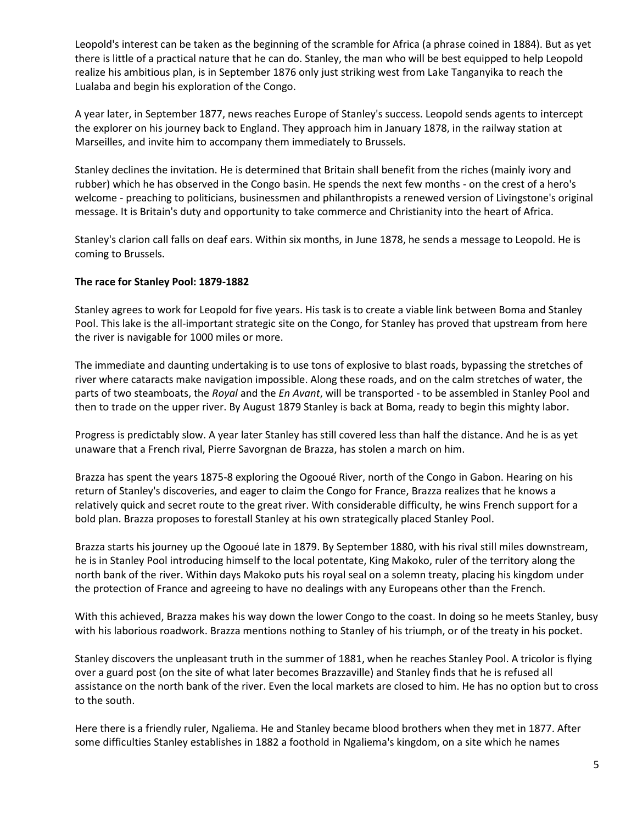Leopold's interest can be taken as the beginning of the scramble for Africa (a phrase coined in 1884). But as yet there is little of a practical nature that he can do. Stanley, the man who will be best equipped to help Leopold realize his ambitious plan, is in September 1876 only just striking west from Lake Tanganyika to reach the [Lualaba](http://www.historyworld.net/wrldhis/PlainTextHistories.asp?gtrack=pthc&ParagraphID=opu#opu) and begin his exploration of the Congo.

A year later, in September 1877, news reaches Europe of Stanley's success. Leopold sends agents to intercept the explorer on his journey back to England. They approach him in January 1878, in the railway station at Marseilles, and invite him to accompany them immediately to Brussels.

Stanley declines the invitation. He is determined that Britain shall benefit from the riches (mainly ivory and rubber) which he has observed in the Congo basin. He spends the next few months - on the crest of a hero's welcome - preaching to politicians, businessmen and philanthropists a renewed version of Livingstone's original message. It is Britain's duty and opportunity to take [commerce and Christianity](http://www.historyworld.net/wrldhis/PlainTextHistories.asp?gtrack=pthc&ParagraphID=ope#ope) into the heart of Africa.

Stanley's clarion call falls on deaf ears. Within six months, in June 1878, he sends a message to Leopold. He is coming to Brussels.

# **The race for Stanley Pool: 1879-1882**

Stanley agrees to work for Leopold for five years. His task is to create a viable link between Boma and Stanley Pool. This lake is the all-important strategic site on the Congo, for Stanley has proved that upstream from here the river is navigable for 1000 miles or more.

The immediate and daunting undertaking is to use tons of explosive to blast roads, bypassing the stretches of river where cataracts make navigation impossible. Along these roads, and on the calm stretches of water, the parts of two steamboats, the *Royal* and the *En Avant*, will be transported - to be assembled in Stanley Pool and then to trade on the upper river. By August 1879 Stanley is back at Boma, ready to begin this mighty labor.

Progress is predictably slow. A year later Stanley has still covered less than half the distance. And he is as yet unaware that a French rival, Pierre Savorgnan de Brazza, has stolen a march on him.

Brazza has spent the years 1875-8 exploring the Ogooué River, north of the Congo in Gabon. Hearing on his return of Stanley's discoveries, and eager to claim the Congo for France, Brazza realizes that he knows a relatively quick and secret route to the great river. With considerable difficulty, he wins French support for a bold plan. Brazza proposes to forestall Stanley at his own strategically placed Stanley Pool.

Brazza starts his journey up the Ogooué late in 1879. By September 1880, with his rival still miles downstream, he is in Stanley Pool introducing himself to the local potentate, King Makoko, ruler of the territory along the north bank of the river. Within days Makoko puts his royal seal on a solemn treaty, placing his kingdom under the protection of France and agreeing to have no dealings with any Europeans other than the French.

With this achieved, Brazza makes his way down the lower Congo to the coast. In doing so he meets Stanley, busy with his laborious roadwork. Brazza mentions nothing to Stanley of his triumph, or of the treaty in his pocket.

Stanley discovers the unpleasant truth in the summer of 1881, when he reaches Stanley Pool. A tricolor is flying over a guard post (on the site of what later becomes Brazzaville) and Stanley finds that he is refused all assistance on the north bank of the river. Even the local markets are closed to him. He has no option but to cross to the south.

Here there is a friendly ruler, Ngaliema. He and Stanley became blood brothers when they met in 1877. After some difficulties Stanley establishes in 1882 a foothold in Ngaliema's kingdom, on a site which he names